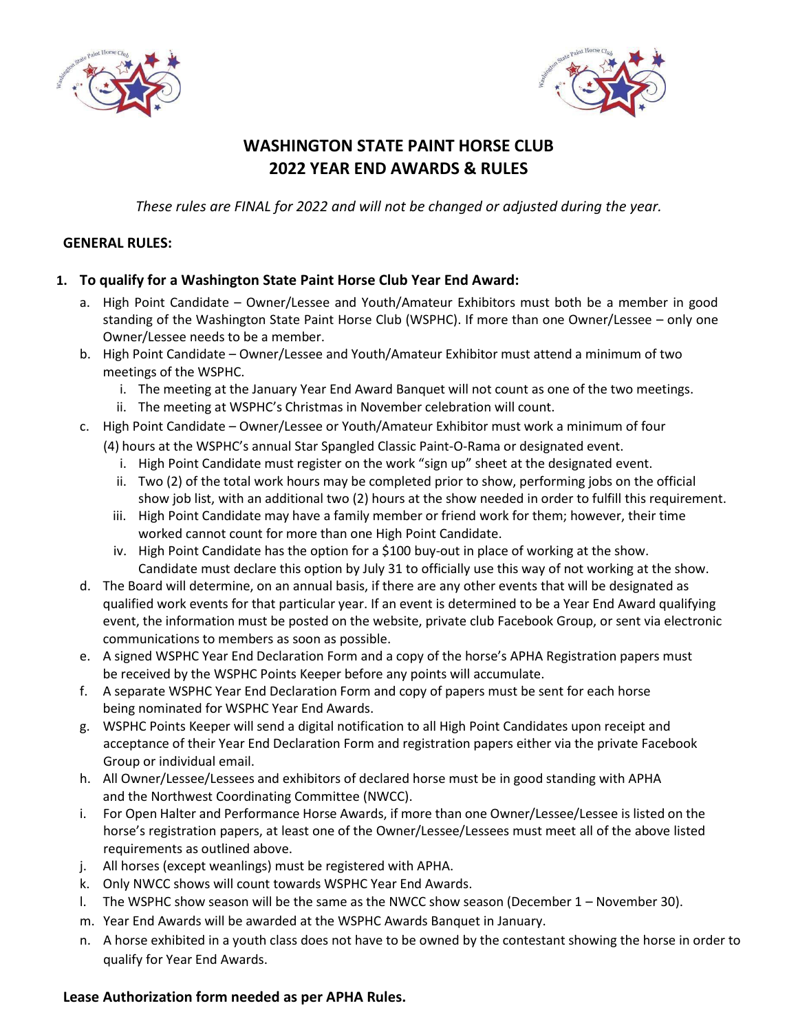



# **WASHINGTON STATE PAINT HORSE CLUB 2022 YEAR END AWARDS & RULES**

*These rules are FINAL for 2022 and will not be changed or adjusted during the year.*

### **GENERAL RULES:**

### **1. To qualify for a Washington State Paint Horse Club Year End Award:**

- a. High Point Candidate Owner/Lessee and Youth/Amateur Exhibitors must both be a member in good standing of the Washington State Paint Horse Club (WSPHC). If more than one Owner/Lessee – only one Owner/Lessee needs to be a member.
- b. High Point Candidate Owner/Lessee and Youth/Amateur Exhibitor must attend a minimum of two meetings of the WSPHC.
	- i. The meeting at the January Year End Award Banquet will not count as one of the two meetings.
	- ii. The meeting at WSPHC's Christmas in November celebration will count.
- c. High Point Candidate Owner/Lessee or Youth/Amateur Exhibitor must work a minimum of four
	- (4) hours at the WSPHC's annual Star Spangled Classic Paint‐O‐Rama or designated event.
		- i. High Point Candidate must register on the work "sign up" sheet at the designated event.
		- ii. Two (2) of the total work hours may be completed prior to show, performing jobs on the official show job list, with an additional two (2) hours at the show needed in order to fulfill this requirement.
		- iii. High Point Candidate may have a family member or friend work for them; however, their time worked cannot count for more than one High Point Candidate.
		- iv. High Point Candidate has the option for a \$100 buy‐out in place of working at the show. Candidate must declare this option by July 31 to officially use this way of not working at the show.
- d. The Board will determine, on an annual basis, if there are any other events that will be designated as qualified work events for that particular year. If an event is determined to be a Year End Award qualifying event, the information must be posted on the website, private club Facebook Group, or sent via electronic communications to members as soon as possible.
- e. A signed WSPHC Year End Declaration Form and a copy of the horse's APHA Registration papers must be received by the WSPHC Points Keeper before any points will accumulate.
- f. A separate WSPHC Year End Declaration Form and copy of papers must be sent for each horse being nominated for WSPHC Year End Awards.
- g. WSPHC Points Keeper will send a digital notification to all High Point Candidates upon receipt and acceptance of their Year End Declaration Form and registration papers either via the private Facebook Group or individual email.
- h. All Owner/Lessee/Lessees and exhibitors of declared horse must be in good standing with APHA and the Northwest Coordinating Committee (NWCC).
- i. For Open Halter and Performance Horse Awards, if more than one Owner/Lessee/Lessee is listed on the horse's registration papers, at least one of the Owner/Lessee/Lessees must meet all of the above listed requirements as outlined above.
- j. All horses (except weanlings) must be registered with APHA.
- k. Only NWCC shows will count towards WSPHC Year End Awards.
- l. The WSPHC show season will be the same as the NWCC show season (December 1 November 30).
- m. Year End Awards will be awarded at the WSPHC Awards Banquet in January.
- n. A horse exhibited in a youth class does not have to be owned by the contestant showing the horse in order to qualify for Year End Awards.

## **Lease Authorization form needed as per APHA Rules.**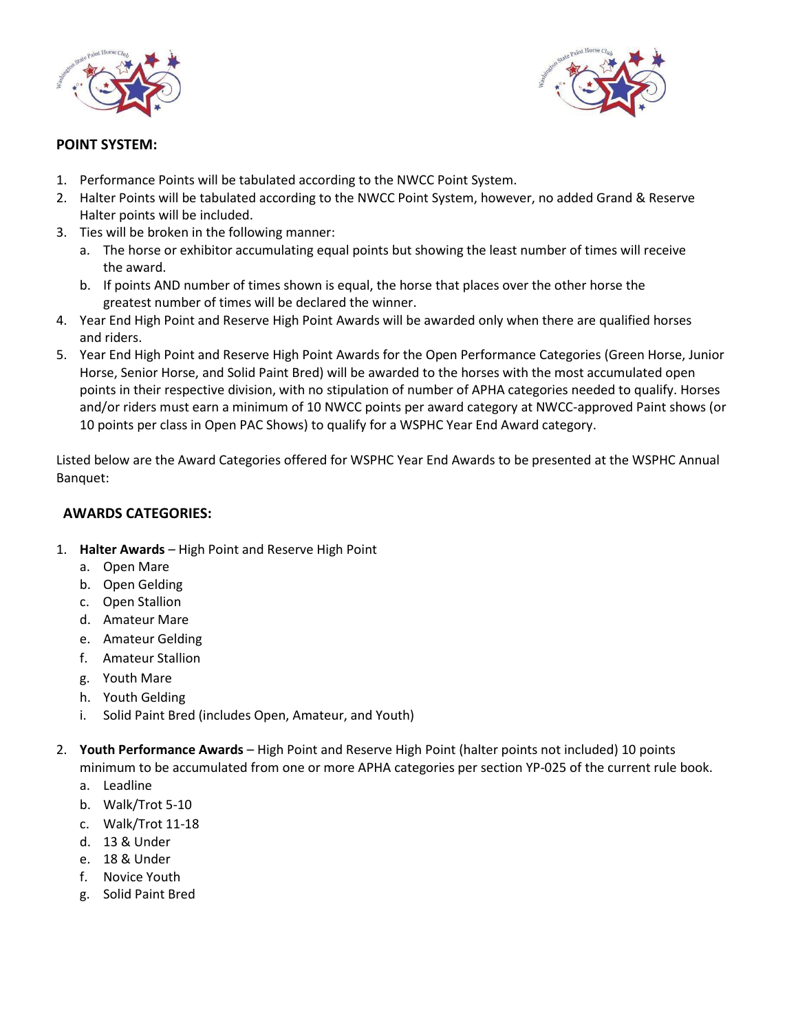



### **POINT SYSTEM:**

- 1. Performance Points will be tabulated according to the NWCC Point System.
- 2. Halter Points will be tabulated according to the NWCC Point System, however, no added Grand & Reserve Halter points will be included.
- 3. Ties will be broken in the following manner:
	- a. The horse or exhibitor accumulating equal points but showing the least number of times will receive the award.
	- b. If points AND number of times shown is equal, the horse that places over the other horse the greatest number of times will be declared the winner.
- 4. Year End High Point and Reserve High Point Awards will be awarded only when there are qualified horses and riders.
- 5. Year End High Point and Reserve High Point Awards for the Open Performance Categories (Green Horse, Junior Horse, Senior Horse, and Solid Paint Bred) will be awarded to the horses with the most accumulated open points in their respective division, with no stipulation of number of APHA categories needed to qualify. Horses and/or riders must earn a minimum of 10 NWCC points per award category at NWCC‐approved Paint shows (or 10 points per class in Open PAC Shows) to qualify for a WSPHC Year End Award category.

Listed below are the Award Categories offered for WSPHC Year End Awards to be presented at the WSPHC Annual Banquet:

## **AWARDS CATEGORIES:**

- 1. **Halter Awards**  High Point and Reserve High Point
	- a. Open Mare
	- b. Open Gelding
	- c. Open Stallion
	- d. Amateur Mare
	- e. Amateur Gelding
	- f. Amateur Stallion
	- g. Youth Mare
	- h. Youth Gelding
	- i. Solid Paint Bred (includes Open, Amateur, and Youth)
- 2. **Youth Performance Awards**  High Point and Reserve High Point (halter points not included) 10 points minimum to be accumulated from one or more APHA categories per section YP‐025 of the current rule book.
	- a. Leadline
	- b. Walk/Trot 5-10
	- c. Walk/Trot 11-18
	- d. 13 & Under
	- e. 18 & Under
	- f. Novice Youth
	- g. Solid Paint Bred